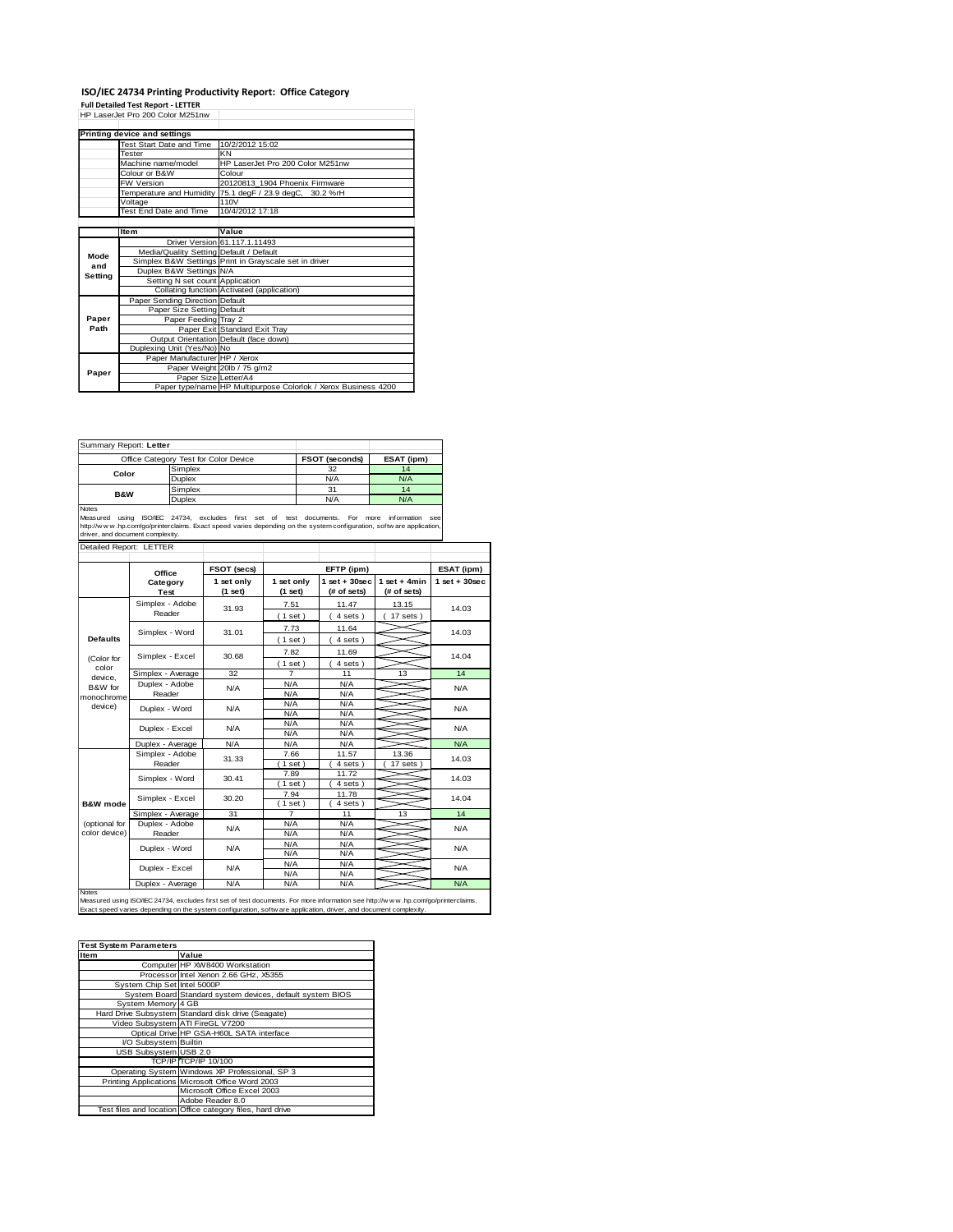## **ISO/IEC 24734 Printing Productivity Report: Office Category Full Detailed Test Report - LETTER** HP LaserJet Pro 200 Color M251nw

|         | Printing device and settings            |                                                                |  |  |  |
|---------|-----------------------------------------|----------------------------------------------------------------|--|--|--|
|         | Test Start Date and Time                | 10/2/2012 15:02                                                |  |  |  |
|         | Tester                                  | KN                                                             |  |  |  |
|         | Machine name/model                      | HP LaserJet Pro 200 Color M251nw                               |  |  |  |
|         | Colour or B&W                           | Colour                                                         |  |  |  |
|         | <b>FW Version</b>                       | 20120813 1904 Phoenix Firmware                                 |  |  |  |
|         |                                         | Temperature and Humidity 75.1 degF / 23.9 degC, 30.2 %rH       |  |  |  |
|         | Voltage                                 | 110V                                                           |  |  |  |
|         | <b>Test End Date and Time</b>           | 10/4/2012 17:18                                                |  |  |  |
|         |                                         |                                                                |  |  |  |
|         | Item                                    | Value                                                          |  |  |  |
|         |                                         | Driver Version 61.117.1.11493                                  |  |  |  |
| Mode    | Media/Quality Setting Default / Default |                                                                |  |  |  |
| and     |                                         | Simplex B&W Settings Print in Grayscale set in driver          |  |  |  |
| Setting | Duplex B&W Settings N/A                 |                                                                |  |  |  |
|         | Setting N set count Application         |                                                                |  |  |  |
|         |                                         | Collating function Activated (application)                     |  |  |  |
|         | Paper Sending Direction Default         |                                                                |  |  |  |
|         | Paper Size Setting Default              |                                                                |  |  |  |
| Paper   | Paper Feeding Tray 2                    |                                                                |  |  |  |
| Path    |                                         | Paper Exit Standard Exit Tray                                  |  |  |  |
|         |                                         | Output Orientation Default (face down)                         |  |  |  |
|         | Duplexing Unit (Yes/No) No              |                                                                |  |  |  |
|         | Paper Manufacturer HP / Xerox           |                                                                |  |  |  |
| Paper   |                                         | Paper Weight 20lb / 75 g/m2                                    |  |  |  |
|         | Paper Size Letter/A4                    |                                                                |  |  |  |
|         |                                         | Paper type/name HP Multipurpose Colorlok / Xerox Business 4200 |  |  |  |

| Summary Report: Letter |                                       |                       |            |
|------------------------|---------------------------------------|-----------------------|------------|
|                        | Office Category Test for Color Device | <b>FSOT (seconds)</b> | ESAT (ipm) |
| Color                  | Simplex                               | 32                    | 14         |
|                        | Duplex                                | N/A                   | N/A        |
| <b>B&amp;W</b>         | Simplex                               | 31                    | 14         |
|                        | Duplex                                | N/A                   | N/A        |
| <b>Notes</b>           |                                       |                       |            |

Notes Measured using ISO/IEC 24734, excludes first set of test documents. For more information see http://w w w .hp.com/go/printerclaims. Exact speed varies depending on the system configuration, softw are application, and document complexity.<br>http://w w w h.p.com/go/printerclaims. Exact speed varies depending on the sy

|                                                                                                                                                                                                                                                                | Office                    | FSOT (secs)             | EFTP (ipm)              |                                   |                               | ESAT (ipm)         |
|----------------------------------------------------------------------------------------------------------------------------------------------------------------------------------------------------------------------------------------------------------------|---------------------------|-------------------------|-------------------------|-----------------------------------|-------------------------------|--------------------|
|                                                                                                                                                                                                                                                                | Category<br>Test          | 1 set only<br>$(1$ set) | 1 set only<br>$(1$ set) | $1$ set + $30$ sec<br>(# of sets) | $1$ set + 4min<br>(# of sets) | $1$ set + $30$ sec |
|                                                                                                                                                                                                                                                                | Simplex - Adobe<br>Reader | 31.93                   | 7.51<br>$1$ set)        | 11.47<br>4 sets)                  | 13.15<br>$17$ sets $)$        | 14.03              |
| <b>Defaults</b>                                                                                                                                                                                                                                                | Simplex - Word            | 31.01                   | 7.73<br>$1$ set)        | 11.64<br>4 sets)                  |                               | 14.03              |
| (Color for                                                                                                                                                                                                                                                     | Simplex - Excel           | 30.68                   | 7.82<br>(1 set)         | 11.69<br>4 sets)                  |                               | 14.04              |
| color                                                                                                                                                                                                                                                          | Simplex - Average         | 32                      | $\overline{7}$          | 11                                | 13                            | 14                 |
| device.<br>B&W for<br>monochrome                                                                                                                                                                                                                               | Duplex - Adobe<br>Reader  | N/A                     | N/A<br>N/A              | N/A<br>N/A                        |                               | N/A                |
| device)                                                                                                                                                                                                                                                        | Duplex - Word             | N/A                     | N/A<br>N/A              | N/A<br>N/A                        |                               | N/A                |
|                                                                                                                                                                                                                                                                | Duplex - Excel            | N/A                     | N/A<br>N/A              | N/A<br>N/A                        |                               | N/A                |
|                                                                                                                                                                                                                                                                | Duplex - Average          | N/A                     | N/A                     | N/A                               |                               | N/A                |
| <b>B&amp;W</b> mode                                                                                                                                                                                                                                            | Simplex - Adobe<br>Reader | 31.33                   | 7.66<br>$1$ set)        | 11.57<br>4 sets)                  | 13.36<br>17 sets              | 14.03              |
|                                                                                                                                                                                                                                                                | Simplex - Word            | 30.41                   | 7.89<br>1 set           | 11.72<br>4 sets)                  |                               | 14.03              |
|                                                                                                                                                                                                                                                                | Simplex - Excel           | 30.20                   | 7.94<br>$1$ set)        | 11.78<br>4 sets)                  |                               | 14.04              |
|                                                                                                                                                                                                                                                                | Simplex - Average         | 31                      | $\overline{7}$          | 11                                | 13                            | 14                 |
| (optional for<br>color device)                                                                                                                                                                                                                                 | Duplex - Adobe<br>Reader  | N/A                     | N/A<br>N/A              | N/A<br>N/A                        |                               | N/A                |
|                                                                                                                                                                                                                                                                | Duplex - Word             | N/A                     | N/A<br>N/A              | N/A<br>N/A                        |                               | N/A                |
|                                                                                                                                                                                                                                                                | Duplex - Excel            | N/A                     | N/A<br>N/A              | N/A<br>N/A                        |                               | N/A                |
|                                                                                                                                                                                                                                                                | Duplex - Average          | N/A                     | N/A                     | N/A                               |                               | N/A                |
| Notes<br>Measured using ISO/IEC 24734, excludes first set of test documents. For more information see http://www.hp.com/go/printerclaims.<br>Exact speed varies depending on the system configuration, softw are application, driver, and document complexity. |                           |                         |                         |                                   |                               |                    |

| <b>Test System Parameters</b> |                                                           |  |  |  |
|-------------------------------|-----------------------------------------------------------|--|--|--|
| <b>Item</b>                   | Value                                                     |  |  |  |
|                               | Computer HP XW8400 Workstation                            |  |  |  |
|                               | Processor Intel Xenon 2.66 GHz, X5355                     |  |  |  |
| System Chip Set Intel 5000P   |                                                           |  |  |  |
|                               | System Board Standard system devices, default system BIOS |  |  |  |
| System Memory 4 GB            |                                                           |  |  |  |
|                               | Hard Drive Subsystem Standard disk drive (Seagate)        |  |  |  |
|                               | Video Subsystem ATI FireGL V7200                          |  |  |  |
|                               | Optical Drive HP GSA-H60L SATA interface                  |  |  |  |
| I/O Subsystem Builtin         |                                                           |  |  |  |
| USB Subsystem USB 2.0         |                                                           |  |  |  |
|                               | TCP/IP TCP/IP 10/100                                      |  |  |  |
|                               | Operating System Windows XP Professional, SP 3            |  |  |  |
|                               | Printing Applications Microsoft Office Word 2003          |  |  |  |
|                               | Microsoft Office Excel 2003                               |  |  |  |
|                               | Adobe Reader 8.0                                          |  |  |  |
|                               | Test files and location Office category files, hard drive |  |  |  |